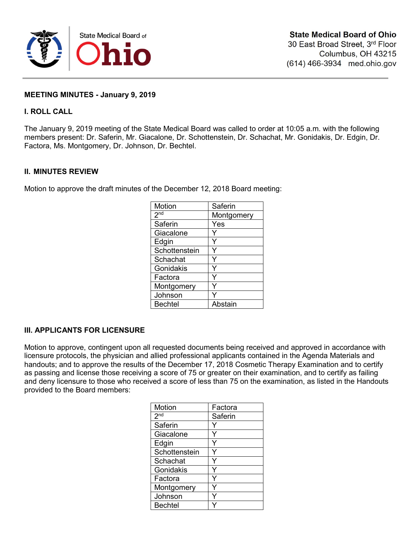

## **MEETING MINUTES - January 9, 2019**

## **I. ROLL CALL**

The January 9, 2019 meeting of the State Medical Board was called to order at 10:05 a.m. with the following members present: Dr. Saferin, Mr. Giacalone, Dr. Schottenstein, Dr. Schachat, Mr. Gonidakis, Dr. Edgin, Dr. Factora, Ms. Montgomery, Dr. Johnson, Dr. Bechtel.

## **II. MINUTES REVIEW**

Motion to approve the draft minutes of the December 12, 2018 Board meeting:

| Motion          | Saferin    |
|-----------------|------------|
| 2 <sup>nd</sup> | Montgomery |
| Saferin         | Yes        |
| Giacalone       |            |
| Edgin           |            |
| Schottenstein   |            |
| Schachat        |            |
| Gonidakis       |            |
| Factora         |            |
| Montgomery      |            |
| Johnson         |            |
| <b>Bechtel</b>  | Abstain    |

## **III. APPLICANTS FOR LICENSURE**

Motion to approve, contingent upon all requested documents being received and approved in accordance with licensure protocols, the physician and allied professional applicants contained in the Agenda Materials and handouts; and to approve the results of the December 17, 2018 Cosmetic Therapy Examination and to certify as passing and license those receiving a score of 75 or greater on their examination, and to certify as failing and deny licensure to those who received a score of less than 75 on the examination, as listed in the Handouts provided to the Board members:

| Motion          | Factora |
|-----------------|---------|
| 2 <sup>nd</sup> | Saferin |
| Saferin         |         |
| Giacalone       |         |
| Edgin           |         |
| Schottenstein   |         |
| Schachat        | v       |
| Gonidakis       |         |
| Factora         |         |
| Montgomery      |         |
| Johnson         |         |
| <b>Bechtel</b>  |         |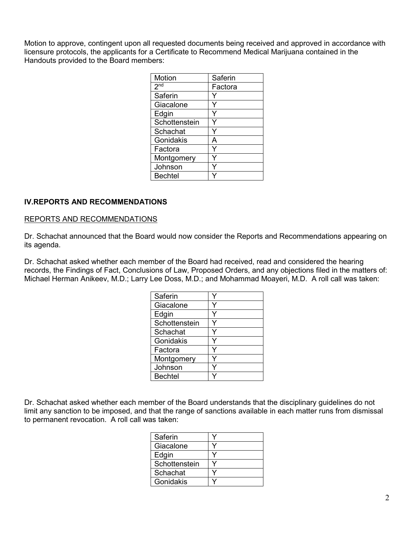Motion to approve, contingent upon all requested documents being received and approved in accordance with licensure protocols, the applicants for a Certificate to Recommend Medical Marijuana contained in the Handouts provided to the Board members:

| Motion          | Saferin |
|-----------------|---------|
| 2 <sup>nd</sup> | Factora |
| Saferin         |         |
| Giacalone       |         |
| Edgin           |         |
| Schottenstein   |         |
| Schachat        |         |
| Gonidakis       | А       |
| Factora         |         |
| Montgomery      |         |
| Johnson         |         |
| <b>Bechtel</b>  |         |

## **IV.REPORTS AND RECOMMENDATIONS**

#### REPORTS AND RECOMMENDATIONS

Dr. Schachat announced that the Board would now consider the Reports and Recommendations appearing on its agenda.

Dr. Schachat asked whether each member of the Board had received, read and considered the hearing records, the Findings of Fact, Conclusions of Law, Proposed Orders, and any objections filed in the matters of: Michael Herman Anikeev, M.D.; Larry Lee Doss, M.D.; and Mohammad Moayeri, M.D. A roll call was taken:

| Saferin        |  |
|----------------|--|
| Giacalone      |  |
| Edgin          |  |
| Schottenstein  |  |
| Schachat       |  |
| Gonidakis      |  |
| Factora        |  |
| Montgomery     |  |
| Johnson        |  |
| <b>Bechtel</b> |  |

Dr. Schachat asked whether each member of the Board understands that the disciplinary guidelines do not limit any sanction to be imposed, and that the range of sanctions available in each matter runs from dismissal to permanent revocation. A roll call was taken:

| Saferin       |  |
|---------------|--|
| Giacalone     |  |
| Edgin         |  |
| Schottenstein |  |
| Schachat      |  |
| Gonidakis     |  |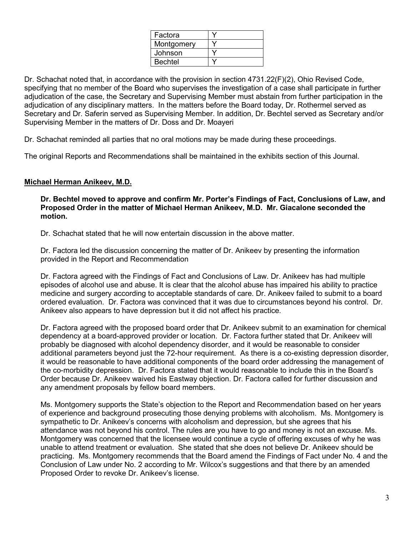| Factora        |  |
|----------------|--|
| Montgomery     |  |
| Johnson        |  |
| <b>Bechtel</b> |  |

Dr. Schachat noted that, in accordance with the provision in section 4731.22(F)(2), Ohio Revised Code, specifying that no member of the Board who supervises the investigation of a case shall participate in further adjudication of the case, the Secretary and Supervising Member must abstain from further participation in the adjudication of any disciplinary matters. In the matters before the Board today, Dr. Rothermel served as Secretary and Dr. Saferin served as Supervising Member. In addition, Dr. Bechtel served as Secretary and/or Supervising Member in the matters of Dr. Doss and Dr. Moayeri

Dr. Schachat reminded all parties that no oral motions may be made during these proceedings.

The original Reports and Recommendations shall be maintained in the exhibits section of this Journal.

# **Michael Herman Anikeev, M.D.**

**Dr. Bechtel moved to approve and confirm Mr. Porter's Findings of Fact, Conclusions of Law, and Proposed Order in the matter of Michael Herman Anikeev, M.D. Mr. Giacalone seconded the motion.**

Dr. Schachat stated that he will now entertain discussion in the above matter.

Dr. Factora led the discussion concerning the matter of Dr. Anikeev by presenting the information provided in the Report and Recommendation

Dr. Factora agreed with the Findings of Fact and Conclusions of Law. Dr. Anikeev has had multiple episodes of alcohol use and abuse. It is clear that the alcohol abuse has impaired his ability to practice medicine and surgery according to acceptable standards of care. Dr. Anikeev failed to submit to a board ordered evaluation. Dr. Factora was convinced that it was due to circumstances beyond his control. Dr. Anikeev also appears to have depression but it did not affect his practice.

Dr. Factora agreed with the proposed board order that Dr. Anikeev submit to an examination for chemical dependency at a board-approved provider or location. Dr. Factora further stated that Dr. Anikeev will probably be diagnosed with alcohol dependency disorder, and it would be reasonable to consider additional parameters beyond just the 72-hour requirement. As there is a co-existing depression disorder, it would be reasonable to have additional components of the board order addressing the management of the co-morbidity depression. Dr. Factora stated that it would reasonable to include this in the Board's Order because Dr. Anikeev waived his Eastway objection. Dr. Factora called for further discussion and any amendment proposals by fellow board members.

Ms. Montgomery supports the State's objection to the Report and Recommendation based on her years of experience and background prosecuting those denying problems with alcoholism. Ms. Montgomery is sympathetic to Dr. Anikeev's concerns with alcoholism and depression, but she agrees that his attendance was not beyond his control. The rules are you have to go and money is not an excuse. Ms. Montgomery was concerned that the licensee would continue a cycle of offering excuses of why he was unable to attend treatment or evaluation. She stated that she does not believe Dr. Anikeev should be practicing. Ms. Montgomery recommends that the Board amend the Findings of Fact under No. 4 and the Conclusion of Law under No. 2 according to Mr. Wilcox's suggestions and that there by an amended Proposed Order to revoke Dr. Anikeev's license.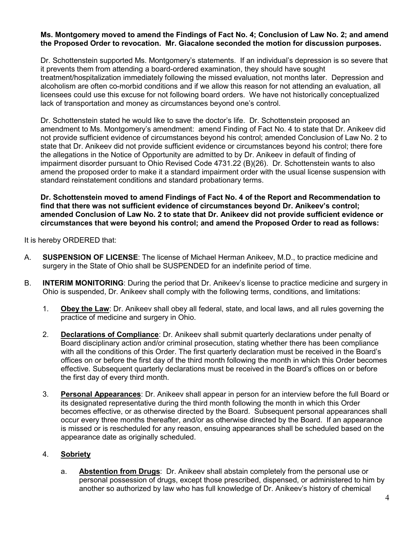#### **Ms. Montgomery moved to amend the Findings of Fact No. 4; Conclusion of Law No. 2; and amend the Proposed Order to revocation. Mr. Giacalone seconded the motion for discussion purposes.**

Dr. Schottenstein supported Ms. Montgomery's statements. If an individual's depression is so severe that it prevents them from attending a board-ordered examination, they should have sought treatment/hospitalization immediately following the missed evaluation, not months later. Depression and alcoholism are often co-morbid conditions and if we allow this reason for not attending an evaluation, all licensees could use this excuse for not following board orders. We have not historically conceptualized lack of transportation and money as circumstances beyond one's control.

Dr. Schottenstein stated he would like to save the doctor's life. Dr. Schottenstein proposed an amendment to Ms. Montgomery's amendment: amend Finding of Fact No. 4 to state that Dr. Anikeev did not provide sufficient evidence of circumstances beyond his control; amended Conclusion of Law No. 2 to state that Dr. Anikeev did not provide sufficient evidence or circumstances beyond his control; there fore the allegations in the Notice of Opportunity are admitted to by Dr. Anikeev in default of finding of impairment disorder pursuant to Ohio Revised Code 4731.22 (B)(26). Dr. Schottenstein wants to also amend the proposed order to make it a standard impairment order with the usual license suspension with standard reinstatement conditions and standard probationary terms.

**Dr. Schottenstein moved to amend Findings of Fact No. 4 of the Report and Recommendation to find that there was not sufficient evidence of circumstances beyond Dr. Anikeev's control; amended Conclusion of Law No. 2 to state that Dr. Anikeev did not provide sufficient evidence or circumstances that were beyond his control; and amend the Proposed Order to read as follows:**

It is hereby ORDERED that:

- A. **SUSPENSION OF LICENSE**: The license of Michael Herman Anikeev, M.D., to practice medicine and surgery in the State of Ohio shall be SUSPENDED for an indefinite period of time.
- B. **INTERIM MONITORING**: During the period that Dr. Anikeev's license to practice medicine and surgery in Ohio is suspended, Dr. Anikeev shall comply with the following terms, conditions, and limitations:
	- 1. **Obey the Law**: Dr. Anikeev shall obey all federal, state, and local laws, and all rules governing the practice of medicine and surgery in Ohio.
	- 2. **Declarations of Compliance**: Dr. Anikeev shall submit quarterly declarations under penalty of Board disciplinary action and/or criminal prosecution, stating whether there has been compliance with all the conditions of this Order. The first quarterly declaration must be received in the Board's offices on or before the first day of the third month following the month in which this Order becomes effective. Subsequent quarterly declarations must be received in the Board's offices on or before the first day of every third month.
	- 3. **Personal Appearances**: Dr. Anikeev shall appear in person for an interview before the full Board or its designated representative during the third month following the month in which this Order becomes effective, or as otherwise directed by the Board. Subsequent personal appearances shall occur every three months thereafter, and/or as otherwise directed by the Board. If an appearance is missed or is rescheduled for any reason, ensuing appearances shall be scheduled based on the appearance date as originally scheduled.

# 4. **Sobriety**

a. **Abstention from Drugs**: Dr. Anikeev shall abstain completely from the personal use or personal possession of drugs, except those prescribed, dispensed, or administered to him by another so authorized by law who has full knowledge of Dr. Anikeev's history of chemical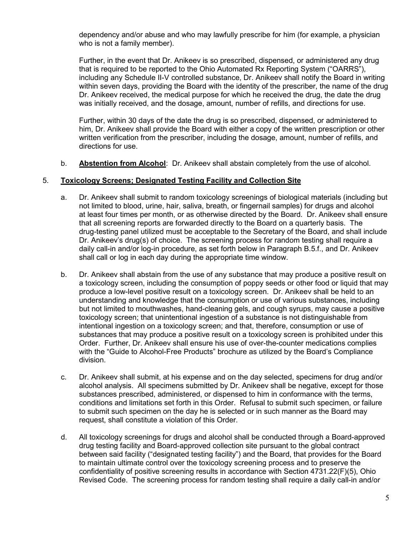dependency and/or abuse and who may lawfully prescribe for him (for example, a physician who is not a family member).

Further, in the event that Dr. Anikeev is so prescribed, dispensed, or administered any drug that is required to be reported to the Ohio Automated Rx Reporting System ("OARRS"), including any Schedule II-V controlled substance, Dr. Anikeev shall notify the Board in writing within seven days, providing the Board with the identity of the prescriber, the name of the drug Dr. Anikeev received, the medical purpose for which he received the drug, the date the drug was initially received, and the dosage, amount, number of refills, and directions for use.

Further, within 30 days of the date the drug is so prescribed, dispensed, or administered to him, Dr. Anikeev shall provide the Board with either a copy of the written prescription or other written verification from the prescriber, including the dosage, amount, number of refills, and directions for use.

b. **Abstention from Alcohol**: Dr. Anikeev shall abstain completely from the use of alcohol.

#### 5. **Toxicology Screens; Designated Testing Facility and Collection Site**

- a. Dr. Anikeev shall submit to random toxicology screenings of biological materials (including but not limited to blood, urine, hair, saliva, breath, or fingernail samples) for drugs and alcohol at least four times per month, or as otherwise directed by the Board. Dr. Anikeev shall ensure that all screening reports are forwarded directly to the Board on a quarterly basis. The drug-testing panel utilized must be acceptable to the Secretary of the Board, and shall include Dr. Anikeev's drug(s) of choice. The screening process for random testing shall require a daily call-in and/or log-in procedure, as set forth below in Paragraph B.5.f., and Dr. Anikeev shall call or log in each day during the appropriate time window.
- b. Dr. Anikeev shall abstain from the use of any substance that may produce a positive result on a toxicology screen, including the consumption of poppy seeds or other food or liquid that may produce a low-level positive result on a toxicology screen. Dr. Anikeev shall be held to an understanding and knowledge that the consumption or use of various substances, including but not limited to mouthwashes, hand-cleaning gels, and cough syrups, may cause a positive toxicology screen; that unintentional ingestion of a substance is not distinguishable from intentional ingestion on a toxicology screen; and that, therefore, consumption or use of substances that may produce a positive result on a toxicology screen is prohibited under this Order. Further, Dr. Anikeev shall ensure his use of over-the-counter medications complies with the "Guide to Alcohol-Free Products" brochure as utilized by the Board's Compliance division.
- c. Dr. Anikeev shall submit, at his expense and on the day selected, specimens for drug and/or alcohol analysis. All specimens submitted by Dr. Anikeev shall be negative, except for those substances prescribed, administered, or dispensed to him in conformance with the terms, conditions and limitations set forth in this Order. Refusal to submit such specimen, or failure to submit such specimen on the day he is selected or in such manner as the Board may request, shall constitute a violation of this Order.
- d. All toxicology screenings for drugs and alcohol shall be conducted through a Board-approved drug testing facility and Board-approved collection site pursuant to the global contract between said facility ("designated testing facility") and the Board, that provides for the Board to maintain ultimate control over the toxicology screening process and to preserve the confidentiality of positive screening results in accordance with Section 4731.22(F)(5), Ohio Revised Code. The screening process for random testing shall require a daily call-in and/or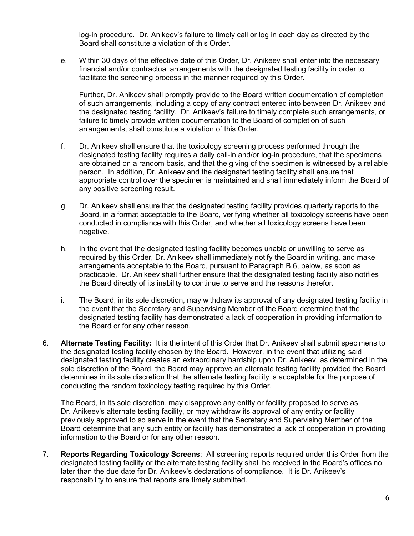log-in procedure. Dr. Anikeev's failure to timely call or log in each day as directed by the Board shall constitute a violation of this Order.

e. Within 30 days of the effective date of this Order, Dr. Anikeev shall enter into the necessary financial and/or contractual arrangements with the designated testing facility in order to facilitate the screening process in the manner required by this Order.

Further, Dr. Anikeev shall promptly provide to the Board written documentation of completion of such arrangements, including a copy of any contract entered into between Dr. Anikeev and the designated testing facility. Dr. Anikeev's failure to timely complete such arrangements, or failure to timely provide written documentation to the Board of completion of such arrangements, shall constitute a violation of this Order.

- f. Dr. Anikeev shall ensure that the toxicology screening process performed through the designated testing facility requires a daily call-in and/or log-in procedure, that the specimens are obtained on a random basis, and that the giving of the specimen is witnessed by a reliable person. In addition, Dr. Anikeev and the designated testing facility shall ensure that appropriate control over the specimen is maintained and shall immediately inform the Board of any positive screening result.
- g. Dr. Anikeev shall ensure that the designated testing facility provides quarterly reports to the Board, in a format acceptable to the Board, verifying whether all toxicology screens have been conducted in compliance with this Order, and whether all toxicology screens have been negative.
- h. In the event that the designated testing facility becomes unable or unwilling to serve as required by this Order, Dr. Anikeev shall immediately notify the Board in writing, and make arrangements acceptable to the Board, pursuant to Paragraph B.6, below, as soon as practicable. Dr. Anikeev shall further ensure that the designated testing facility also notifies the Board directly of its inability to continue to serve and the reasons therefor.
- i. The Board, in its sole discretion, may withdraw its approval of any designated testing facility in the event that the Secretary and Supervising Member of the Board determine that the designated testing facility has demonstrated a lack of cooperation in providing information to the Board or for any other reason.
- 6. **Alternate Testing Facility:** It is the intent of this Order that Dr. Anikeev shall submit specimens to the designated testing facility chosen by the Board. However, in the event that utilizing said designated testing facility creates an extraordinary hardship upon Dr. Anikeev, as determined in the sole discretion of the Board, the Board may approve an alternate testing facility provided the Board determines in its sole discretion that the alternate testing facility is acceptable for the purpose of conducting the random toxicology testing required by this Order.

The Board, in its sole discretion, may disapprove any entity or facility proposed to serve as Dr. Anikeev's alternate testing facility, or may withdraw its approval of any entity or facility previously approved to so serve in the event that the Secretary and Supervising Member of the Board determine that any such entity or facility has demonstrated a lack of cooperation in providing information to the Board or for any other reason.

7. **Reports Regarding Toxicology Screens**: All screening reports required under this Order from the designated testing facility or the alternate testing facility shall be received in the Board's offices no later than the due date for Dr. Anikeev's declarations of compliance. It is Dr. Anikeev's responsibility to ensure that reports are timely submitted.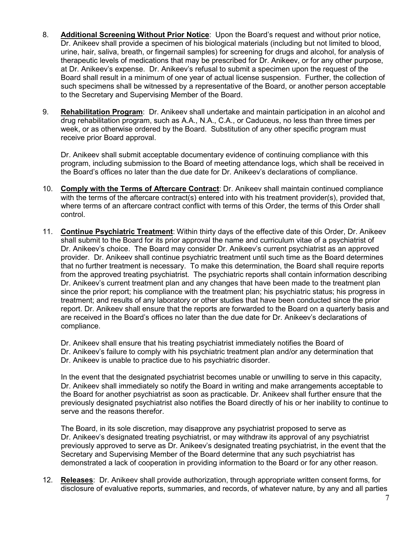- 8. **Additional Screening Without Prior Notice**: Upon the Board's request and without prior notice, Dr. Anikeev shall provide a specimen of his biological materials (including but not limited to blood, urine, hair, saliva, breath, or fingernail samples) for screening for drugs and alcohol, for analysis of therapeutic levels of medications that may be prescribed for Dr. Anikeev, or for any other purpose, at Dr. Anikeev's expense. Dr. Anikeev's refusal to submit a specimen upon the request of the Board shall result in a minimum of one year of actual license suspension. Further, the collection of such specimens shall be witnessed by a representative of the Board, or another person acceptable to the Secretary and Supervising Member of the Board.
- 9. **Rehabilitation Program**: Dr. Anikeev shall undertake and maintain participation in an alcohol and drug rehabilitation program, such as A.A., N.A., C.A., or Caduceus, no less than three times per week, or as otherwise ordered by the Board. Substitution of any other specific program must receive prior Board approval.

Dr. Anikeev shall submit acceptable documentary evidence of continuing compliance with this program, including submission to the Board of meeting attendance logs, which shall be received in the Board's offices no later than the due date for Dr. Anikeev's declarations of compliance.

- 10. **Comply with the Terms of Aftercare Contract**: Dr. Anikeev shall maintain continued compliance with the terms of the aftercare contract(s) entered into with his treatment provider(s), provided that, where terms of an aftercare contract conflict with terms of this Order, the terms of this Order shall control.
- 11. **Continue Psychiatric Treatment**: Within thirty days of the effective date of this Order, Dr. Anikeev shall submit to the Board for its prior approval the name and curriculum vitae of a psychiatrist of Dr. Anikeev's choice. The Board may consider Dr. Anikeev's current psychiatrist as an approved provider. Dr. Anikeev shall continue psychiatric treatment until such time as the Board determines that no further treatment is necessary. To make this determination, the Board shall require reports from the approved treating psychiatrist. The psychiatric reports shall contain information describing Dr. Anikeev's current treatment plan and any changes that have been made to the treatment plan since the prior report; his compliance with the treatment plan; his psychiatric status; his progress in treatment; and results of any laboratory or other studies that have been conducted since the prior report. Dr. Anikeev shall ensure that the reports are forwarded to the Board on a quarterly basis and are received in the Board's offices no later than the due date for Dr. Anikeev's declarations of compliance.

Dr. Anikeev shall ensure that his treating psychiatrist immediately notifies the Board of Dr. Anikeev's failure to comply with his psychiatric treatment plan and/or any determination that Dr. Anikeev is unable to practice due to his psychiatric disorder.

In the event that the designated psychiatrist becomes unable or unwilling to serve in this capacity, Dr. Anikeev shall immediately so notify the Board in writing and make arrangements acceptable to the Board for another psychiatrist as soon as practicable. Dr. Anikeev shall further ensure that the previously designated psychiatrist also notifies the Board directly of his or her inability to continue to serve and the reasons therefor.

The Board, in its sole discretion, may disapprove any psychiatrist proposed to serve as Dr. Anikeev's designated treating psychiatrist, or may withdraw its approval of any psychiatrist previously approved to serve as Dr. Anikeev's designated treating psychiatrist, in the event that the Secretary and Supervising Member of the Board determine that any such psychiatrist has demonstrated a lack of cooperation in providing information to the Board or for any other reason.

12. **Releases**: Dr. Anikeev shall provide authorization, through appropriate written consent forms, for disclosure of evaluative reports, summaries, and records, of whatever nature, by any and all parties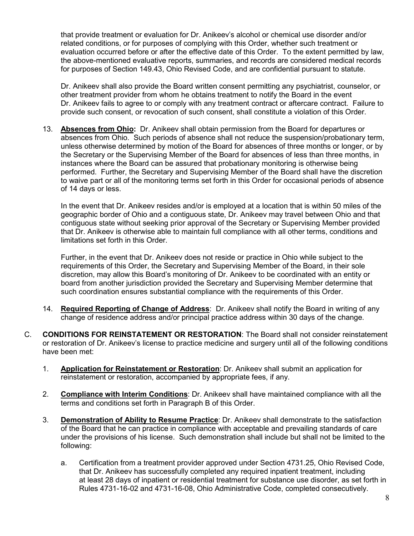that provide treatment or evaluation for Dr. Anikeev's alcohol or chemical use disorder and/or related conditions, or for purposes of complying with this Order, whether such treatment or evaluation occurred before or after the effective date of this Order. To the extent permitted by law, the above-mentioned evaluative reports, summaries, and records are considered medical records for purposes of Section 149.43, Ohio Revised Code, and are confidential pursuant to statute.

Dr. Anikeev shall also provide the Board written consent permitting any psychiatrist, counselor, or other treatment provider from whom he obtains treatment to notify the Board in the event Dr. Anikeev fails to agree to or comply with any treatment contract or aftercare contract. Failure to provide such consent, or revocation of such consent, shall constitute a violation of this Order.

13. **Absences from Ohio:** Dr. Anikeev shall obtain permission from the Board for departures or absences from Ohio. Such periods of absence shall not reduce the suspension/probationary term, unless otherwise determined by motion of the Board for absences of three months or longer, or by the Secretary or the Supervising Member of the Board for absences of less than three months, in instances where the Board can be assured that probationary monitoring is otherwise being performed. Further, the Secretary and Supervising Member of the Board shall have the discretion to waive part or all of the monitoring terms set forth in this Order for occasional periods of absence of 14 days or less.

In the event that Dr. Anikeev resides and/or is employed at a location that is within 50 miles of the geographic border of Ohio and a contiguous state, Dr. Anikeev may travel between Ohio and that contiguous state without seeking prior approval of the Secretary or Supervising Member provided that Dr. Anikeev is otherwise able to maintain full compliance with all other terms, conditions and limitations set forth in this Order.

Further, in the event that Dr. Anikeev does not reside or practice in Ohio while subject to the requirements of this Order, the Secretary and Supervising Member of the Board, in their sole discretion, may allow this Board's monitoring of Dr. Anikeev to be coordinated with an entity or board from another jurisdiction provided the Secretary and Supervising Member determine that such coordination ensures substantial compliance with the requirements of this Order.

- 14. **Required Reporting of Change of Address**: Dr. Anikeev shall notify the Board in writing of any change of residence address and/or principal practice address within 30 days of the change.
- C. **CONDITIONS FOR REINSTATEMENT OR RESTORATION**: The Board shall not consider reinstatement or restoration of Dr. Anikeev's license to practice medicine and surgery until all of the following conditions have been met:
	- 1. **Application for Reinstatement or Restoration**: Dr. Anikeev shall submit an application for reinstatement or restoration, accompanied by appropriate fees, if any.
	- 2. **Compliance with Interim Conditions**: Dr. Anikeev shall have maintained compliance with all the terms and conditions set forth in Paragraph B of this Order.
	- 3. **Demonstration of Ability to Resume Practice**: Dr. Anikeev shall demonstrate to the satisfaction of the Board that he can practice in compliance with acceptable and prevailing standards of care under the provisions of his license. Such demonstration shall include but shall not be limited to the following:
		- a. Certification from a treatment provider approved under Section 4731.25, Ohio Revised Code, that Dr. Anikeev has successfully completed any required inpatient treatment, including at least 28 days of inpatient or residential treatment for substance use disorder, as set forth in Rules 4731-16-02 and 4731-16-08, Ohio Administrative Code, completed consecutively.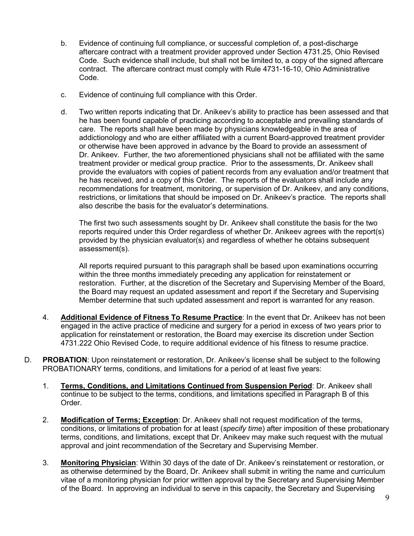- b. Evidence of continuing full compliance, or successful completion of, a post-discharge aftercare contract with a treatment provider approved under Section 4731.25, Ohio Revised Code. Such evidence shall include, but shall not be limited to, a copy of the signed aftercare contract. The aftercare contract must comply with Rule 4731-16-10, Ohio Administrative Code.
- c. Evidence of continuing full compliance with this Order.
- d. Two written reports indicating that Dr. Anikeev's ability to practice has been assessed and that he has been found capable of practicing according to acceptable and prevailing standards of care. The reports shall have been made by physicians knowledgeable in the area of addictionology and who are either affiliated with a current Board-approved treatment provider or otherwise have been approved in advance by the Board to provide an assessment of Dr. Anikeev. Further, the two aforementioned physicians shall not be affiliated with the same treatment provider or medical group practice. Prior to the assessments, Dr. Anikeev shall provide the evaluators with copies of patient records from any evaluation and/or treatment that he has received, and a copy of this Order. The reports of the evaluators shall include any recommendations for treatment, monitoring, or supervision of Dr. Anikeev, and any conditions, restrictions, or limitations that should be imposed on Dr. Anikeev's practice. The reports shall also describe the basis for the evaluator's determinations.

The first two such assessments sought by Dr. Anikeev shall constitute the basis for the two reports required under this Order regardless of whether Dr. Anikeev agrees with the report(s) provided by the physician evaluator(s) and regardless of whether he obtains subsequent assessment(s).

All reports required pursuant to this paragraph shall be based upon examinations occurring within the three months immediately preceding any application for reinstatement or restoration. Further, at the discretion of the Secretary and Supervising Member of the Board, the Board may request an updated assessment and report if the Secretary and Supervising Member determine that such updated assessment and report is warranted for any reason.

- 4. **Additional Evidence of Fitness To Resume Practice**: In the event that Dr. Anikeev has not been engaged in the active practice of medicine and surgery for a period in excess of two years prior to application for reinstatement or restoration, the Board may exercise its discretion under Section 4731.222 Ohio Revised Code, to require additional evidence of his fitness to resume practice.
- D. **PROBATION**: Upon reinstatement or restoration, Dr. Anikeev's license shall be subject to the following PROBATIONARY terms, conditions, and limitations for a period of at least five years:
	- 1. **Terms, Conditions, and Limitations Continued from Suspension Period**: Dr. Anikeev shall continue to be subject to the terms, conditions, and limitations specified in Paragraph B of this Order.
	- 2. **Modification of Terms; Exception**: Dr. Anikeev shall not request modification of the terms, conditions, or limitations of probation for at least (*specify time*) after imposition of these probationary terms, conditions, and limitations, except that Dr. Anikeev may make such request with the mutual approval and joint recommendation of the Secretary and Supervising Member.
	- 3. **Monitoring Physician**: Within 30 days of the date of Dr. Anikeev's reinstatement or restoration, or as otherwise determined by the Board, Dr. Anikeev shall submit in writing the name and curriculum vitae of a monitoring physician for prior written approval by the Secretary and Supervising Member of the Board. In approving an individual to serve in this capacity, the Secretary and Supervising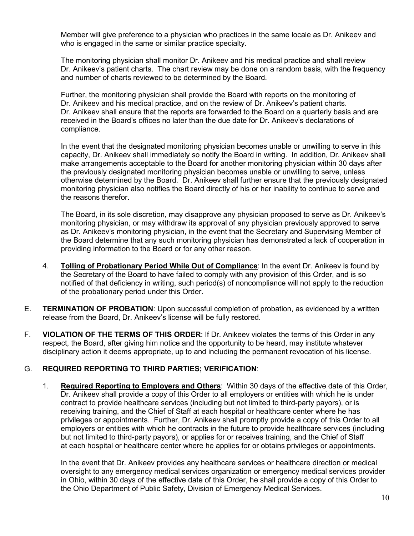Member will give preference to a physician who practices in the same locale as Dr. Anikeev and who is engaged in the same or similar practice specialty.

The monitoring physician shall monitor Dr. Anikeev and his medical practice and shall review Dr. Anikeev's patient charts. The chart review may be done on a random basis, with the frequency and number of charts reviewed to be determined by the Board.

Further, the monitoring physician shall provide the Board with reports on the monitoring of Dr. Anikeev and his medical practice, and on the review of Dr. Anikeev's patient charts. Dr. Anikeev shall ensure that the reports are forwarded to the Board on a quarterly basis and are received in the Board's offices no later than the due date for Dr. Anikeev's declarations of compliance.

In the event that the designated monitoring physician becomes unable or unwilling to serve in this capacity, Dr. Anikeev shall immediately so notify the Board in writing. In addition, Dr. Anikeev shall make arrangements acceptable to the Board for another monitoring physician within 30 days after the previously designated monitoring physician becomes unable or unwilling to serve, unless otherwise determined by the Board. Dr. Anikeev shall further ensure that the previously designated monitoring physician also notifies the Board directly of his or her inability to continue to serve and the reasons therefor.

The Board, in its sole discretion, may disapprove any physician proposed to serve as Dr. Anikeev's monitoring physician, or may withdraw its approval of any physician previously approved to serve as Dr. Anikeev's monitoring physician, in the event that the Secretary and Supervising Member of the Board determine that any such monitoring physician has demonstrated a lack of cooperation in providing information to the Board or for any other reason.

- 4. **Tolling of Probationary Period While Out of Compliance**: In the event Dr. Anikeev is found by the Secretary of the Board to have failed to comply with any provision of this Order, and is so notified of that deficiency in writing, such period(s) of noncompliance will not apply to the reduction of the probationary period under this Order.
- E. **TERMINATION OF PROBATION**: Upon successful completion of probation, as evidenced by a written release from the Board, Dr. Anikeev's license will be fully restored.
- F. **VIOLATION OF THE TERMS OF THIS ORDER**: If Dr. Anikeev violates the terms of this Order in any respect, the Board, after giving him notice and the opportunity to be heard, may institute whatever disciplinary action it deems appropriate, up to and including the permanent revocation of his license.

# G. **REQUIRED REPORTING TO THIRD PARTIES; VERIFICATION**:

1. **Required Reporting to Employers and Others**: Within 30 days of the effective date of this Order, Dr. Anikeev shall provide a copy of this Order to all employers or entities with which he is under contract to provide healthcare services (including but not limited to third-party payors), or is receiving training, and the Chief of Staff at each hospital or healthcare center where he has privileges or appointments. Further, Dr. Anikeev shall promptly provide a copy of this Order to all employers or entities with which he contracts in the future to provide healthcare services (including but not limited to third-party payors), or applies for or receives training, and the Chief of Staff at each hospital or healthcare center where he applies for or obtains privileges or appointments.

In the event that Dr. Anikeev provides any healthcare services or healthcare direction or medical oversight to any emergency medical services organization or emergency medical services provider in Ohio, within 30 days of the effective date of this Order, he shall provide a copy of this Order to the Ohio Department of Public Safety, Division of Emergency Medical Services.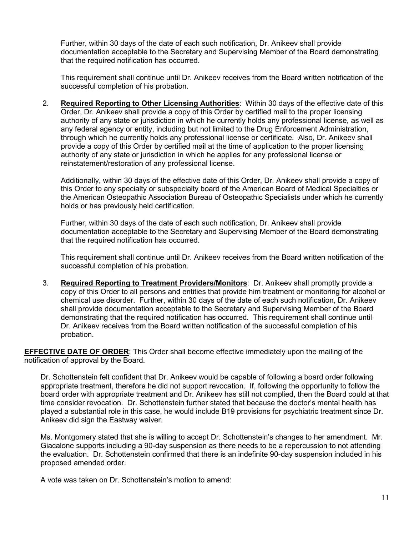Further, within 30 days of the date of each such notification, Dr. Anikeev shall provide documentation acceptable to the Secretary and Supervising Member of the Board demonstrating that the required notification has occurred.

This requirement shall continue until Dr. Anikeev receives from the Board written notification of the successful completion of his probation.

2. **Required Reporting to Other Licensing Authorities**: Within 30 days of the effective date of this Order, Dr. Anikeev shall provide a copy of this Order by certified mail to the proper licensing authority of any state or jurisdiction in which he currently holds any professional license, as well as any federal agency or entity, including but not limited to the Drug Enforcement Administration, through which he currently holds any professional license or certificate. Also, Dr. Anikeev shall provide a copy of this Order by certified mail at the time of application to the proper licensing authority of any state or jurisdiction in which he applies for any professional license or reinstatement/restoration of any professional license.

Additionally, within 30 days of the effective date of this Order, Dr. Anikeev shall provide a copy of this Order to any specialty or subspecialty board of the American Board of Medical Specialties or the American Osteopathic Association Bureau of Osteopathic Specialists under which he currently holds or has previously held certification.

Further, within 30 days of the date of each such notification, Dr. Anikeev shall provide documentation acceptable to the Secretary and Supervising Member of the Board demonstrating that the required notification has occurred.

This requirement shall continue until Dr. Anikeev receives from the Board written notification of the successful completion of his probation.

3. **Required Reporting to Treatment Providers/Monitors**: Dr. Anikeev shall promptly provide a copy of this Order to all persons and entities that provide him treatment or monitoring for alcohol or chemical use disorder. Further, within 30 days of the date of each such notification, Dr. Anikeev shall provide documentation acceptable to the Secretary and Supervising Member of the Board demonstrating that the required notification has occurred. This requirement shall continue until Dr. Anikeev receives from the Board written notification of the successful completion of his probation.

**EFFECTIVE DATE OF ORDER**: This Order shall become effective immediately upon the mailing of the notification of approval by the Board.

Dr. Schottenstein felt confident that Dr. Anikeev would be capable of following a board order following appropriate treatment, therefore he did not support revocation. If, following the opportunity to follow the board order with appropriate treatment and Dr. Anikeev has still not complied, then the Board could at that time consider revocation. Dr. Schottenstein further stated that because the doctor's mental health has played a substantial role in this case, he would include B19 provisions for psychiatric treatment since Dr. Anikeev did sign the Eastway waiver.

Ms. Montgomery stated that she is willing to accept Dr. Schottenstein's changes to her amendment. Mr. Giacalone supports including a 90-day suspension as there needs to be a repercussion to not attending the evaluation. Dr. Schottenstein confirmed that there is an indefinite 90-day suspension included in his proposed amended order.

A vote was taken on Dr. Schottenstein's motion to amend: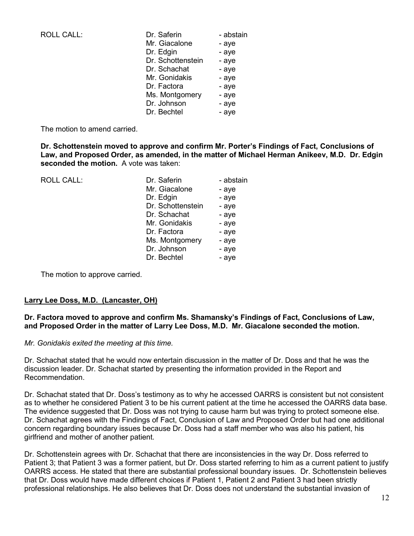| <b>ROLL CALL:</b> | Dr. Saferin       | - abstain |
|-------------------|-------------------|-----------|
|                   | Mr. Giacalone     | - aye     |
|                   | Dr. Edgin         | - aye     |
|                   | Dr. Schottenstein | - aye     |
|                   | Dr. Schachat      | - aye     |
|                   | Mr. Gonidakis     | - aye     |
|                   | Dr. Factora       | - aye     |
|                   | Ms. Montgomery    | - aye     |
|                   | Dr. Johnson       | - aye     |
|                   | Dr. Bechtel       | - aye     |

The motion to amend carried.

**Dr. Schottenstein moved to approve and confirm Mr. Porter's Findings of Fact, Conclusions of Law, and Proposed Order, as amended, in the matter of Michael Herman Anikeev, M.D. Dr. Edgin seconded the motion.** A vote was taken:

| <b>ROLL CALL:</b> | Dr. Saferin       | - abstain |
|-------------------|-------------------|-----------|
|                   | Mr. Giacalone     | - aye     |
|                   | Dr. Edgin         | - aye     |
|                   | Dr. Schottenstein | - aye     |
|                   | Dr. Schachat      | - aye     |
|                   | Mr. Gonidakis     | - aye     |
|                   | Dr. Factora       | - aye     |
|                   | Ms. Montgomery    | - aye     |
|                   | Dr. Johnson       | - aye     |
|                   | Dr. Bechtel       | - aye     |

The motion to approve carried.

## **Larry Lee Doss, M.D. (Lancaster, OH)**

## **Dr. Factora moved to approve and confirm Ms. Shamansky's Findings of Fact, Conclusions of Law, and Proposed Order in the matter of Larry Lee Doss, M.D. Mr. Giacalone seconded the motion.**

## *Mr. Gonidakis exited the meeting at this time.*

Dr. Schachat stated that he would now entertain discussion in the matter of Dr. Doss and that he was the discussion leader. Dr. Schachat started by presenting the information provided in the Report and Recommendation.

Dr. Schachat stated that Dr. Doss's testimony as to why he accessed OARRS is consistent but not consistent as to whether he considered Patient 3 to be his current patient at the time he accessed the OARRS data base. The evidence suggested that Dr. Doss was not trying to cause harm but was trying to protect someone else. Dr. Schachat agrees with the Findings of Fact, Conclusion of Law and Proposed Order but had one additional concern regarding boundary issues because Dr. Doss had a staff member who was also his patient, his girlfriend and mother of another patient.

Dr. Schottenstein agrees with Dr. Schachat that there are inconsistencies in the way Dr. Doss referred to Patient 3; that Patient 3 was a former patient, but Dr. Doss started referring to him as a current patient to justify OARRS access. He stated that there are substantial professional boundary issues. Dr. Schottenstein believes that Dr. Doss would have made different choices if Patient 1, Patient 2 and Patient 3 had been strictly professional relationships. He also believes that Dr. Doss does not understand the substantial invasion of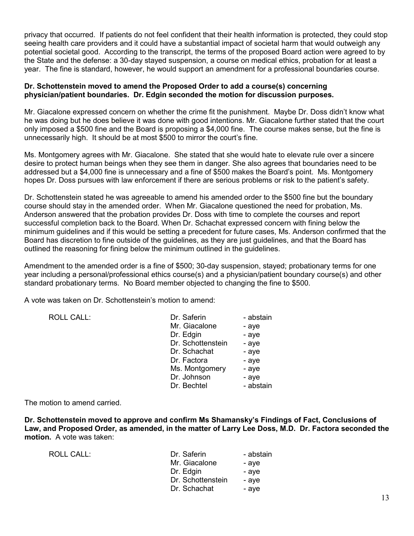privacy that occurred. If patients do not feel confident that their health information is protected, they could stop seeing health care providers and it could have a substantial impact of societal harm that would outweigh any potential societal good. According to the transcript, the terms of the proposed Board action were agreed to by the State and the defense: a 30-day stayed suspension, a course on medical ethics, probation for at least a year. The fine is standard, however, he would support an amendment for a professional boundaries course.

#### **Dr. Schottenstein moved to amend the Proposed Order to add a course(s) concerning physician/patient boundaries. Dr. Edgin seconded the motion for discussion purposes.**

Mr. Giacalone expressed concern on whether the crime fit the punishment. Maybe Dr. Doss didn't know what he was doing but he does believe it was done with good intentions. Mr. Giacalone further stated that the court only imposed a \$500 fine and the Board is proposing a \$4,000 fine. The course makes sense, but the fine is unnecessarily high. It should be at most \$500 to mirror the court's fine.

Ms. Montgomery agrees with Mr. Giacalone. She stated that she would hate to elevate rule over a sincere desire to protect human beings when they see them in danger. She also agrees that boundaries need to be addressed but a \$4,000 fine is unnecessary and a fine of \$500 makes the Board's point. Ms. Montgomery hopes Dr. Doss pursues with law enforcement if there are serious problems or risk to the patient's safety.

Dr. Schottenstein stated he was agreeable to amend his amended order to the \$500 fine but the boundary course should stay in the amended order. When Mr. Giacalone questioned the need for probation, Ms. Anderson answered that the probation provides Dr. Doss with time to complete the courses and report successful completion back to the Board. When Dr. Schachat expressed concern with fining below the minimum guidelines and if this would be setting a precedent for future cases, Ms. Anderson confirmed that the Board has discretion to fine outside of the guidelines, as they are just guidelines, and that the Board has outlined the reasoning for fining below the minimum outlined in the guidelines.

Amendment to the amended order is a fine of \$500; 30-day suspension, stayed; probationary terms for one year including a personal/professional ethics course(s) and a physician/patient boundary course(s) and other standard probationary terms. No Board member objected to changing the fine to \$500.

A vote was taken on Dr. Schottenstein's motion to amend:

| Dr. Saferin       | - abstain |
|-------------------|-----------|
| Mr. Giacalone     | - aye     |
| Dr. Edgin         | - aye     |
| Dr. Schottenstein | - aye     |
| Dr. Schachat      | - aye     |
| Dr. Factora       | - aye     |
| Ms. Montgomery    | - aye     |
| Dr. Johnson       | - aye     |
| Dr. Bechtel       | - abstain |

The motion to amend carried.

ROLL CALL:

**Dr. Schottenstein moved to approve and confirm Ms Shamansky's Findings of Fact, Conclusions of Law, and Proposed Order, as amended, in the matter of Larry Lee Doss, M.D. Dr. Factora seconded the motion.** A vote was taken:

| ROLL CALL: | Dr. Saferin<br>Mr. Giacalone<br>Dr. Edgin<br>Dr. Schottenstein | - abstain<br>- ave<br>- aye<br>- ave |
|------------|----------------------------------------------------------------|--------------------------------------|
|            | Dr. Schachat                                                   | - ave                                |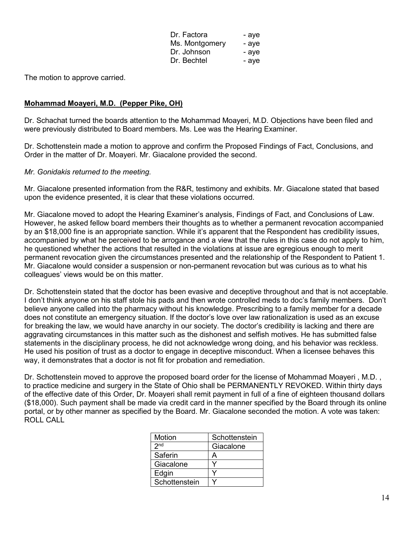| Dr. Factora    | - aye |
|----------------|-------|
| Ms. Montgomery | - aye |
| Dr. Johnson    | - aye |
| Dr. Bechtel    | - aye |

The motion to approve carried.

## **Mohammad Moayeri, M.D. (Pepper Pike, OH)**

Dr. Schachat turned the boards attention to the Mohammad Moayeri, M.D. Objections have been filed and were previously distributed to Board members. Ms. Lee was the Hearing Examiner.

Dr. Schottenstein made a motion to approve and confirm the Proposed Findings of Fact, Conclusions, and Order in the matter of Dr. Moayeri. Mr. Giacalone provided the second.

#### *Mr. Gonidakis returned to the meeting.*

Mr. Giacalone presented information from the R&R, testimony and exhibits. Mr. Giacalone stated that based upon the evidence presented, it is clear that these violations occurred.

Mr. Giacalone moved to adopt the Hearing Examiner's analysis, Findings of Fact, and Conclusions of Law. However, he asked fellow board members their thoughts as to whether a permanent revocation accompanied by an \$18,000 fine is an appropriate sanction. While it's apparent that the Respondent has credibility issues, accompanied by what he perceived to be arrogance and a view that the rules in this case do not apply to him, he questioned whether the actions that resulted in the violations at issue are egregious enough to merit permanent revocation given the circumstances presented and the relationship of the Respondent to Patient 1. Mr. Giacalone would consider a suspension or non-permanent revocation but was curious as to what his colleagues' views would be on this matter.

Dr. Schottenstein stated that the doctor has been evasive and deceptive throughout and that is not acceptable. I don't think anyone on his staff stole his pads and then wrote controlled meds to doc's family members. Don't believe anyone called into the pharmacy without his knowledge. Prescribing to a family member for a decade does not constitute an emergency situation. If the doctor's love over law rationalization is used as an excuse for breaking the law, we would have anarchy in our society. The doctor's credibility is lacking and there are aggravating circumstances in this matter such as the dishonest and selfish motives. He has submitted false statements in the disciplinary process, he did not acknowledge wrong doing, and his behavior was reckless. He used his position of trust as a doctor to engage in deceptive misconduct. When a licensee behaves this way, it demonstrates that a doctor is not fit for probation and remediation.

Dr. Schottenstein moved to approve the proposed board order for the license of Mohammad Moayeri , M.D. , to practice medicine and surgery in the State of Ohio shall be PERMANENTLY REVOKED. Within thirty days of the effective date of this Order, Dr. Moayeri shall remit payment in full of a fine of eighteen thousand dollars (\$18,000). Such payment shall be made via credit card in the manner specified by the Board through its online portal, or by other manner as specified by the Board. Mr. Giacalone seconded the motion. A vote was taken: ROLL CALL

| Motion          | Schottenstein |
|-----------------|---------------|
| 2 <sub>nd</sub> | Giacalone     |
| Saferin         | А             |
| Giacalone       |               |
| Edgin           |               |
| Schottenstein   |               |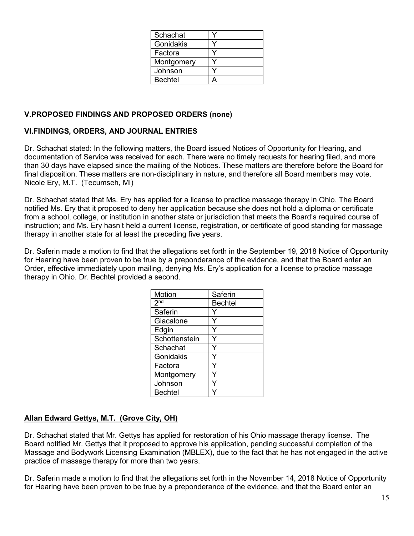| Schachat       |  |
|----------------|--|
| Gonidakis      |  |
| Factora        |  |
| Montgomery     |  |
| Johnson        |  |
| <b>Bechtel</b> |  |

# **V.PROPOSED FINDINGS AND PROPOSED ORDERS (none)**

## **VI.FINDINGS, ORDERS, AND JOURNAL ENTRIES**

Dr. Schachat stated: In the following matters, the Board issued Notices of Opportunity for Hearing, and documentation of Service was received for each. There were no timely requests for hearing filed, and more than 30 days have elapsed since the mailing of the Notices. These matters are therefore before the Board for final disposition. These matters are non-disciplinary in nature, and therefore all Board members may vote. Nicole Ery, M.T. (Tecumseh, MI)

Dr. Schachat stated that Ms. Ery has applied for a license to practice massage therapy in Ohio. The Board notified Ms. Ery that it proposed to deny her application because she does not hold a diploma or certificate from a school, college, or institution in another state or jurisdiction that meets the Board's required course of instruction; and Ms. Ery hasn't held a current license, registration, or certificate of good standing for massage therapy in another state for at least the preceding five years.

Dr. Saferin made a motion to find that the allegations set forth in the September 19, 2018 Notice of Opportunity for Hearing have been proven to be true by a preponderance of the evidence, and that the Board enter an Order, effective immediately upon mailing, denying Ms. Ery's application for a license to practice massage therapy in Ohio. Dr. Bechtel provided a second.

| Motion          | Saferin        |
|-----------------|----------------|
| 2 <sub>nd</sub> | <b>Bechtel</b> |
| Saferin         |                |
| Giacalone       |                |
| Edgin           |                |
| Schottenstein   |                |
| Schachat        | Y              |
| Gonidakis       |                |
| Factora         |                |
| Montgomery      |                |
| Johnson         |                |
| <b>Bechtel</b>  |                |

# **Allan Edward Gettys, M.T. (Grove City, OH)**

Dr. Schachat stated that Mr. Gettys has applied for restoration of his Ohio massage therapy license. The Board notified Mr. Gettys that it proposed to approve his application, pending successful completion of the Massage and Bodywork Licensing Examination (MBLEX), due to the fact that he has not engaged in the active practice of massage therapy for more than two years.

Dr. Saferin made a motion to find that the allegations set forth in the November 14, 2018 Notice of Opportunity for Hearing have been proven to be true by a preponderance of the evidence, and that the Board enter an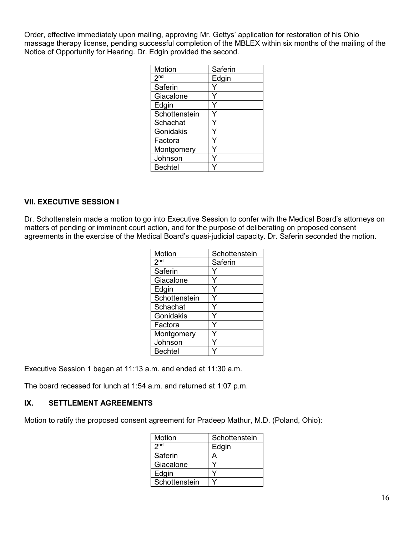Order, effective immediately upon mailing, approving Mr. Gettys' application for restoration of his Ohio massage therapy license, pending successful completion of the MBLEX within six months of the mailing of the Notice of Opportunity for Hearing. Dr. Edgin provided the second.

| Motion          | Saferin |
|-----------------|---------|
| 2 <sup>nd</sup> | Edgin   |
| Saferin         |         |
| Giacalone       |         |
| Edgin           |         |
| Schottenstein   |         |
| Schachat        |         |
| Gonidakis       |         |
| Factora         |         |
| Montgomery      |         |
| Johnson         |         |
| <b>Bechtel</b>  |         |

## **VII. EXECUTIVE SESSION I**

Dr. Schottenstein made a motion to go into Executive Session to confer with the Medical Board's attorneys on matters of pending or imminent court action, and for the purpose of deliberating on proposed consent agreements in the exercise of the Medical Board's quasi-judicial capacity. Dr. Saferin seconded the motion.

| Motion          | Schottenstein |
|-----------------|---------------|
| 2 <sup>nd</sup> | Saferin       |
| Saferin         |               |
| Giacalone       |               |
| Edgin           |               |
| Schottenstein   |               |
| Schachat        |               |
| Gonidakis       |               |
| Factora         |               |
| Montgomery      |               |
| Johnson         |               |
| <b>Bechtel</b>  |               |

Executive Session 1 began at 11:13 a.m. and ended at 11:30 a.m.

The board recessed for lunch at 1:54 a.m. and returned at 1:07 p.m.

## **IX. SETTLEMENT AGREEMENTS**

Motion to ratify the proposed consent agreement for Pradeep Mathur, M.D. (Poland, Ohio):

| Motion          | Schottenstein |
|-----------------|---------------|
| 2 <sub>nd</sub> | Edgin         |
| Saferin         | А             |
| Giacalone       |               |
| Edgin           |               |
| Schottenstein   |               |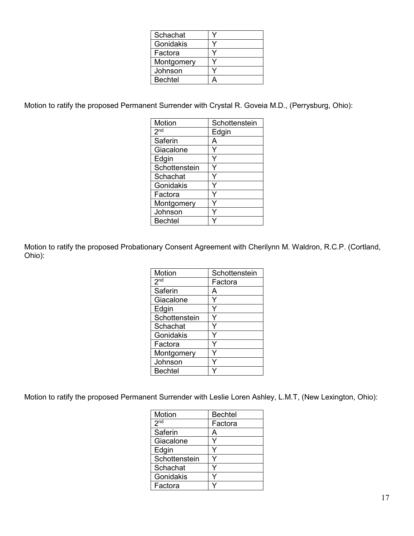| Schachat       |  |
|----------------|--|
| Gonidakis      |  |
| Factora        |  |
| Montgomery     |  |
| Johnson        |  |
| <b>Bechtel</b> |  |

Motion to ratify the proposed Permanent Surrender with Crystal R. Goveia M.D., (Perrysburg, Ohio):

| Motion          | Schottenstein |
|-----------------|---------------|
| 2 <sup>nd</sup> | Edgin         |
| Saferin         | А             |
| Giacalone       |               |
| Edgin           |               |
| Schottenstein   |               |
| Schachat        |               |
| Gonidakis       |               |
| Factora         |               |
| Montgomery      |               |
| Johnson         |               |
| <b>Bechtel</b>  |               |

Motion to ratify the proposed Probationary Consent Agreement with Cherilynn M. Waldron, R.C.P. (Cortland, Ohio):

| Motion          | Schottenstein |
|-----------------|---------------|
| 2 <sub>nd</sub> | Factora       |
| Saferin         | А             |
| Giacalone       |               |
| Edgin           |               |
| Schottenstein   |               |
| Schachat        |               |
| Gonidakis       |               |
| Factora         |               |
| Montgomery      |               |
| Johnson         |               |
| <b>Bechtel</b>  |               |

Motion to ratify the proposed Permanent Surrender with Leslie Loren Ashley, L.M.T, (New Lexington, Ohio):

| Motion          | <b>Bechtel</b> |
|-----------------|----------------|
| 2 <sup>nd</sup> | Factora        |
| Saferin         | А              |
| Giacalone       |                |
| Edgin           |                |
| Schottenstein   |                |
| Schachat        |                |
| Gonidakis       |                |
| Factora         |                |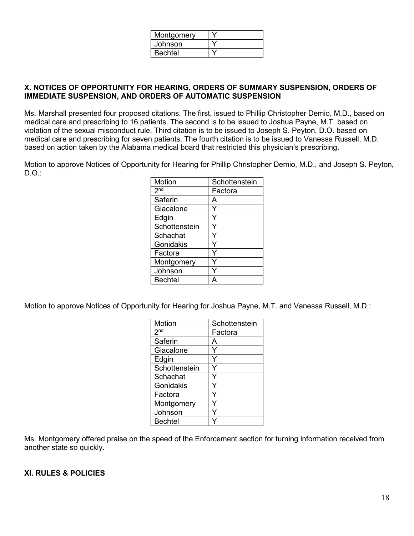| Montgomery     |  |
|----------------|--|
| Johnson        |  |
| <b>Bechtel</b> |  |

## **X. NOTICES OF OPPORTUNITY FOR HEARING, ORDERS OF SUMMARY SUSPENSION, ORDERS OF IMMEDIATE SUSPENSION, AND ORDERS OF AUTOMATIC SUSPENSION**

Ms. Marshall presented four proposed citations. The first, issued to Phillip Christopher Demio, M.D., based on medical care and prescribing to 16 patients. The second is to be issued to Joshua Payne, M.T. based on violation of the sexual misconduct rule. Third citation is to be issued to Joseph S. Peyton, D.O. based on medical care and prescribing for seven patients. The fourth citation is to be issued to Vanessa Russell, M.D. based on action taken by the Alabama medical board that restricted this physician's prescribing.

Motion to approve Notices of Opportunity for Hearing for Phillip Christopher Demio, M.D., and Joseph S. Peyton, D.O.:

| Motion          | Schottenstein |
|-----------------|---------------|
| 2 <sub>nd</sub> | Factora       |
| Saferin         | А             |
| Giacalone       |               |
| Edgin           |               |
| Schottenstein   |               |
| Schachat        |               |
| Gonidakis       |               |
| Factora         |               |
| Montgomery      |               |
| Johnson         |               |
| <b>Bechtel</b>  |               |

Motion to approve Notices of Opportunity for Hearing for Joshua Payne, M.T. and Vanessa Russell, M.D.:

| Motion           | Schottenstein |
|------------------|---------------|
| $2n\overline{d}$ | Factora       |
| <b>Saferin</b>   | А             |
| Giacalone        |               |
| Edgin            |               |
| Schottenstein    |               |
| Schachat         |               |
| Gonidakis        |               |
| Factora          |               |
| Montgomery       |               |
| Johnson          |               |
| <b>Bechtel</b>   |               |

Ms. Montgomery offered praise on the speed of the Enforcement section for turning information received from another state so quickly.

## **XI. RULES & POLICIES**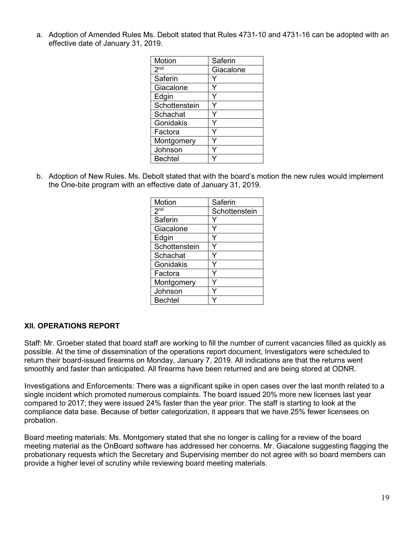a. Adoption of Amended Rules Ms. Debolt stated that Rules 4731-10 and 4731-16 can be adopted with an effective date of January 31, 2019.

| Motion          | Saferin   |
|-----------------|-----------|
| 2 <sub>nd</sub> | Giacalone |
| Saferin         |           |
| Giacalone       |           |
| Edgin           |           |
| Schottenstein   |           |
| Schachat        |           |
| Gonidakis       |           |
| Factora         |           |
| Montgomery      |           |
| Johnson         |           |
| <b>Bechtel</b>  |           |

b. Adoption of New Rules. Ms. Debolt stated that with the board's motion the new rules would implement the One-bite program with an effective date of January 31, 2019.

| Motion          | Saferin       |
|-----------------|---------------|
| 2 <sub>nd</sub> | Schottenstein |
| Saferin         |               |
| Giacalone       |               |
| Edgin           |               |
| Schottenstein   |               |
| Schachat        |               |
| Gonidakis       |               |
| Factora         |               |
| Montgomery      |               |
| Johnson         |               |
| <b>Bechtel</b>  |               |

## **XII. OPERATIONS REPORT**

Staff: Mr. Groeber stated that board staff are working to fill the number of current vacancies filled as quickly as possible. At the time of dissemination of the operations report document, Investigators were scheduled to return their board-issued firearms on Monday, January 7, 2019. All indications are that the returns went smoothly and faster than anticipated. All firearms have been returned and are being stored at ODNR.

Investigations and Enforcements: There was a significant spike in open cases over the last month related to a single incident which promoted numerous complaints. The board issued 20% more new licenses last year compared to 2017; they were issued 24% faster than the year prior. The staff is starting to look at the compliance data base. Because of better categorization, it appears that we have 25% fewer licensees on probation.

Board meeting materials: Ms. Montgomery stated that she no longer is calling for a review of the board meeting material as the OnBoard software has addressed her concerns. Mr. Giacalone suggesting flagging the probationary requests which the Secretary and Supervising member do not agree with so board members can provide a higher level of scrutiny while reviewing board meeting materials.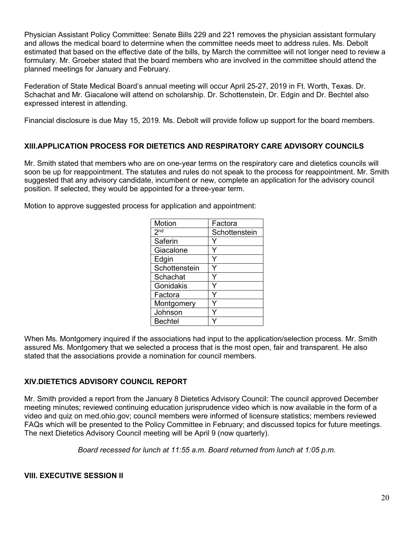Physician Assistant Policy Committee: Senate Bills 229 and 221 removes the physician assistant formulary and allows the medical board to determine when the committee needs meet to address rules. Ms. Debolt estimated that based on the effective date of the bills, by March the committee will not longer need to review a formulary. Mr. Groeber stated that the board members who are involved in the committee should attend the planned meetings for January and February.

Federation of State Medical Board's annual meeting will occur April 25-27, 2019 in Ft. Worth, Texas. Dr. Schachat and Mr. Giacalone will attend on scholarship. Dr. Schottenstein, Dr. Edgin and Dr. Bechtel also expressed interest in attending.

Financial disclosure is due May 15, 2019. Ms. Debolt will provide follow up support for the board members.

## **XIII.APPLICATION PROCESS FOR DIETETICS AND RESPIRATORY CARE ADVISORY COUNCILS**

Mr. Smith stated that members who are on one-year terms on the respiratory care and dietetics councils will soon be up for reappointment. The statutes and rules do not speak to the process for reappointment. Mr. Smith suggested that any advisory candidate, incumbent or new, complete an application for the advisory council position. If selected, they would be appointed for a three-year term.

Motion to approve suggested process for application and appointment:

| Motion          | Factora       |
|-----------------|---------------|
| 2 <sub>nd</sub> | Schottenstein |
| Saferin         |               |
| Giacalone       |               |
| Edgin           |               |
| Schottenstein   |               |
| Schachat        |               |
| Gonidakis       |               |
| Factora         |               |
| Montgomery      |               |
| Johnson         |               |
| <b>Bechtel</b>  |               |

When Ms. Montgomery inquired if the associations had input to the application/selection process. Mr. Smith assured Ms. Montgomery that we selected a process that is the most open, fair and transparent. He also stated that the associations provide a nomination for council members.

## **XIV.DIETETICS ADVISORY COUNCIL REPORT**

Mr. Smith provided a report from the January 8 Dietetics Advisory Council: The council approved December meeting minutes; reviewed continuing education jurisprudence video which is now available in the form of a video and quiz on med.ohio.gov; council members were informed of licensure statistics; members reviewed FAQs which will be presented to the Policy Committee in February; and discussed topics for future meetings. The next Dietetics Advisory Council meeting will be April 9 (now quarterly).

*Board recessed for lunch at 11:55 a.m. Board returned from lunch at 1:05 p.m.*

**VIII. EXECUTIVE SESSION II**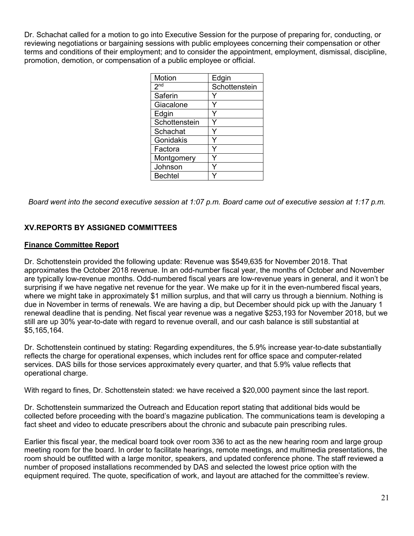Dr. Schachat called for a motion to go into Executive Session for the purpose of preparing for, conducting, or reviewing negotiations or bargaining sessions with public employees concerning their compensation or other terms and conditions of their employment; and to consider the appointment, employment, dismissal, discipline, promotion, demotion, or compensation of a public employee or official.

| Motion          | Edgin         |
|-----------------|---------------|
| 2 <sup>nd</sup> | Schottenstein |
| Saferin         |               |
| Giacalone       |               |
| Edgin           |               |
| Schottenstein   |               |
| Schachat        |               |
| Gonidakis       |               |
| Factora         |               |
| Montgomery      |               |
| Johnson         |               |
| <b>Bechtel</b>  |               |

*Board went into the second executive session at 1:07 p.m. Board came out of executive session at 1:17 p.m.*

# **XV.REPORTS BY ASSIGNED COMMITTEES**

## **Finance Committee Report**

Dr. Schottenstein provided the following update: Revenue was \$549,635 for November 2018. That approximates the October 2018 revenue. In an odd-number fiscal year, the months of October and November are typically low-revenue months. Odd-numbered fiscal years are low-revenue years in general, and it won't be surprising if we have negative net revenue for the year. We make up for it in the even-numbered fiscal years, where we might take in approximately \$1 million surplus, and that will carry us through a biennium. Nothing is due in November in terms of renewals. We are having a dip, but December should pick up with the January 1 renewal deadline that is pending. Net fiscal year revenue was a negative \$253,193 for November 2018, but we still are up 30% year-to-date with regard to revenue overall, and our cash balance is still substantial at \$5,165,164.

Dr. Schottenstein continued by stating: Regarding expenditures, the 5.9% increase year-to-date substantially reflects the charge for operational expenses, which includes rent for office space and computer-related services. DAS bills for those services approximately every quarter, and that 5.9% value reflects that operational charge.

With regard to fines, Dr. Schottenstein stated: we have received a \$20,000 payment since the last report.

Dr. Schottenstein summarized the Outreach and Education report stating that additional bids would be collected before proceeding with the board's magazine publication. The communications team is developing a fact sheet and video to educate prescribers about the chronic and subacute pain prescribing rules.

Earlier this fiscal year, the medical board took over room 336 to act as the new hearing room and large group meeting room for the board. In order to facilitate hearings, remote meetings, and multimedia presentations, the room should be outfitted with a large monitor, speakers, and updated conference phone. The staff reviewed a number of proposed installations recommended by DAS and selected the lowest price option with the equipment required. The quote, specification of work, and layout are attached for the committee's review.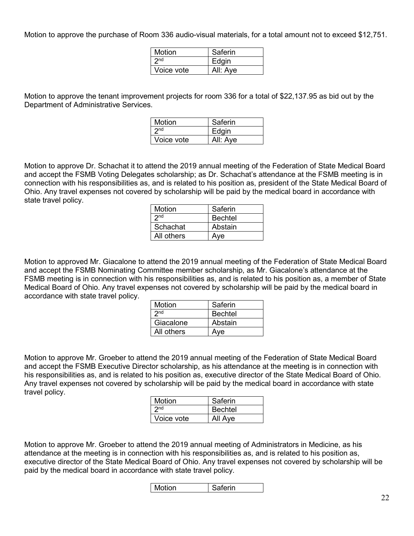Motion to approve the purchase of Room 336 audio-visual materials, for a total amount not to exceed \$12,751.

| Motion          | Saferin  |
|-----------------|----------|
| 2 <sub>nd</sub> | Edgin    |
| Voice vote      | All: Aye |

Motion to approve the tenant improvement projects for room 336 for a total of \$22,137.95 as bid out by the Department of Administrative Services.

| <b>Motion</b>   | Saferin  |
|-----------------|----------|
| 2 <sub>nd</sub> | Edgin    |
| Voice vote      | All: Aye |

Motion to approve Dr. Schachat it to attend the 2019 annual meeting of the Federation of State Medical Board and accept the FSMB Voting Delegates scholarship; as Dr. Schachat's attendance at the FSMB meeting is in connection with his responsibilities as, and is related to his position as, president of the State Medical Board of Ohio. Any travel expenses not covered by scholarship will be paid by the medical board in accordance with state travel policy.

| Motion     | Saferin        |
|------------|----------------|
| 2nd        | <b>Bechtel</b> |
| Schachat   | Abstain        |
| All others | Ave            |

Motion to approved Mr. Giacalone to attend the 2019 annual meeting of the Federation of State Medical Board and accept the FSMB Nominating Committee member scholarship, as Mr. Giacalone's attendance at the FSMB meeting is in connection with his responsibilities as, and is related to his position as, a member of State Medical Board of Ohio. Any travel expenses not covered by scholarship will be paid by the medical board in accordance with state travel policy.

| <b>Motion</b>   | Saferin        |
|-----------------|----------------|
| 2 <sub>nd</sub> | <b>Bechtel</b> |
| Giacalone       | Abstain        |
| All others      | Ave            |

Motion to approve Mr. Groeber to attend the 2019 annual meeting of the Federation of State Medical Board and accept the FSMB Executive Director scholarship, as his attendance at the meeting is in connection with his responsibilities as, and is related to his position as, executive director of the State Medical Board of Ohio. Any travel expenses not covered by scholarship will be paid by the medical board in accordance with state travel policy.

| Motion          | Saferin        |
|-----------------|----------------|
| 2 <sub>nd</sub> | <b>Bechtel</b> |
| Voice vote      | All Aye        |

Motion to approve Mr. Groeber to attend the 2019 annual meeting of Administrators in Medicine, as his attendance at the meeting is in connection with his responsibilities as, and is related to his position as, executive director of the State Medical Board of Ohio. Any travel expenses not covered by scholarship will be paid by the medical board in accordance with state travel policy.

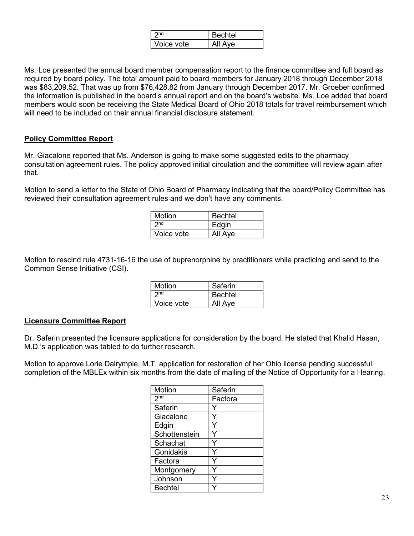|            | Bechtel |
|------------|---------|
| Voice vote | All Aye |

Ms. Loe presented the annual board member compensation report to the finance committee and full board as required by board policy. The total amount paid to board members for January 2018 through December 2018 was \$83,209.52. That was up from \$76,428.82 from January through December 2017. Mr. Groeber confirmed the information is published in the board's annual report and on the board's website. Ms. Loe added that board members would soon be receiving the State Medical Board of Ohio 2018 totals for travel reimbursement which will need to be included on their annual financial disclosure statement.

#### **Policy Committee Report**

Mr. Giacalone reported that Ms. Anderson is going to make some suggested edits to the pharmacy consultation agreement rules. The policy approved initial circulation and the committee will review again after that.

Motion to send a letter to the State of Ohio Board of Pharmacy indicating that the board/Policy Committee has reviewed their consultation agreement rules and we don't have any comments.

| Motion          | <b>Bechtel</b> |
|-----------------|----------------|
| 2 <sub>nd</sub> | Edgin          |
| Voice vote      | All Aye        |

Motion to rescind rule 4731-16-16 the use of buprenorphine by practitioners while practicing and send to the Common Sense Initiative (CSI).

| Motion          | Saferin        |
|-----------------|----------------|
| 2 <sub>nd</sub> | <b>Bechtel</b> |
| Voice vote      | All Aye        |

## **Licensure Committee Report**

Dr. Saferin presented the licensure applications for consideration by the board. He stated that Khalid Hasan, M.D.'s application was tabled to do further research.

Motion to approve Lorie Dalrymple, M.T. application for restoration of her Ohio license pending successful completion of the MBLEx within six months from the date of mailing of the Notice of Opportunity for a Hearing.

| Motion          | Saferin |
|-----------------|---------|
| 2 <sub>nd</sub> | Factora |
| Saferin         |         |
| Giacalone       |         |
| Edgin           |         |
| Schottenstein   | Y       |
| Schachat        | Y       |
| Gonidakis       | v       |
| Factora         | Y       |
| Montgomery      |         |
| Johnson         |         |
| <b>Bechtel</b>  |         |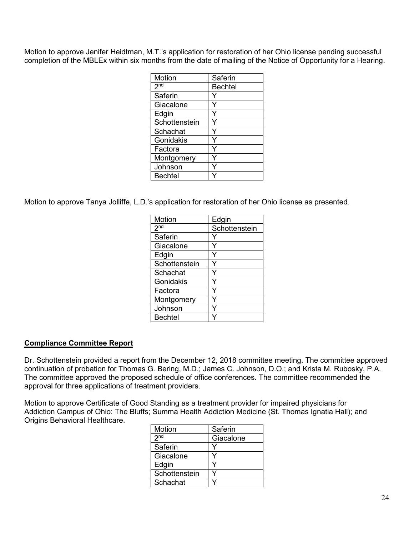Motion to approve Jenifer Heidtman, M.T.'s application for restoration of her Ohio license pending successful completion of the MBLEx within six months from the date of mailing of the Notice of Opportunity for a Hearing.

| Motion          | Saferin        |
|-----------------|----------------|
| 2 <sub>nd</sub> | <b>Bechtel</b> |
| Saferin         |                |
| Giacalone       |                |
| Edgin           |                |
| Schottenstein   |                |
| Schachat        |                |
| Gonidakis       |                |
| Factora         |                |
| Montgomery      |                |
| Johnson         |                |
| <b>Bechtel</b>  |                |

Motion to approve Tanya Jolliffe, L.D.'s application for restoration of her Ohio license as presented.

| Motion          | Edgin         |
|-----------------|---------------|
| 2 <sub>nd</sub> | Schottenstein |
| Saferin         |               |
| Giacalone       |               |
| Edgin           |               |
| Schottenstein   |               |
| Schachat        |               |
| Gonidakis       |               |
| Factora         |               |
| Montgomery      |               |
| Johnson         |               |
| <b>Bechtel</b>  |               |

## **Compliance Committee Report**

Dr. Schottenstein provided a report from the December 12, 2018 committee meeting. The committee approved continuation of probation for Thomas G. Bering, M.D.; James C. Johnson, D.O.; and Krista M. Rubosky, P.A. The committee approved the proposed schedule of office conferences. The committee recommended the approval for three applications of treatment providers.

Motion to approve Certificate of Good Standing as a treatment provider for impaired physicians for Addiction Campus of Ohio: The Bluffs; Summa Health Addiction Medicine (St. Thomas Ignatia Hall); and Origins Behavioral Healthcare.

| Motion          | Saferin   |
|-----------------|-----------|
| 2 <sup>nd</sup> | Giacalone |
| Saferin         |           |
| Giacalone       |           |
| Edgin           |           |
| Schottenstein   |           |
| Schachat        |           |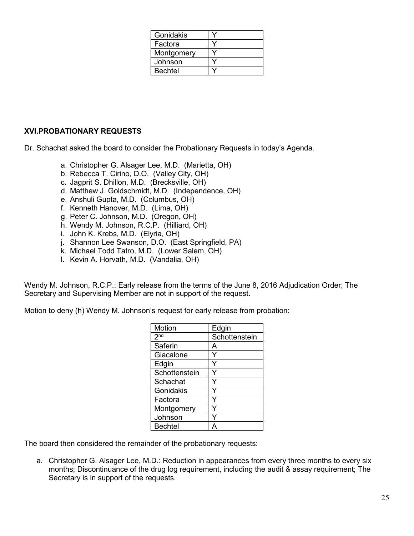| Gonidakis      |  |
|----------------|--|
| Factora        |  |
| Montgomery     |  |
| Johnson        |  |
| <b>Bechtel</b> |  |

## **XVI.PROBATIONARY REQUESTS**

Dr. Schachat asked the board to consider the Probationary Requests in today's Agenda.

- a. Christopher G. Alsager Lee, M.D. (Marietta, OH)
- b. Rebecca T. Cirino, D.O. (Valley City, OH)
- c. Jagprit S. Dhillon, M.D. (Brecksville, OH)
- d. Matthew J. Goldschmidt, M.D. (Independence, OH)
- e. Anshuli Gupta, M.D. (Columbus, OH)
- f. Kenneth Hanover, M.D. (Lima, OH)
- g. Peter C. Johnson, M.D. (Oregon, OH)
- h. Wendy M. Johnson, R.C.P. (Hilliard, OH)
- i. John K. Krebs, M.D. (Elyria, OH)
- j. Shannon Lee Swanson, D.O. (East Springfield, PA)
- k. Michael Todd Tatro, M.D. (Lower Salem, OH)
- l. Kevin A. Horvath, M.D. (Vandalia, OH)

Wendy M. Johnson, R.C.P.: Early release from the terms of the June 8, 2016 Adjudication Order; The Secretary and Supervising Member are not in support of the request.

Motion to deny (h) Wendy M. Johnson's request for early release from probation:

| Motion          | Edgin         |
|-----------------|---------------|
| 2 <sup>nd</sup> | Schottenstein |
| Saferin         | A             |
| Giacalone       | Y             |
| Edgin           | Y             |
| Schottenstein   |               |
| Schachat        |               |
| Gonidakis       | Y             |
| Factora         | ٧             |
| Montgomery      |               |
| Johnson         |               |
| <b>Bechtel</b>  |               |

The board then considered the remainder of the probationary requests:

a. Christopher G. Alsager Lee, M.D.: Reduction in appearances from every three months to every six months; Discontinuance of the drug log requirement, including the audit & assay requirement; The Secretary is in support of the requests.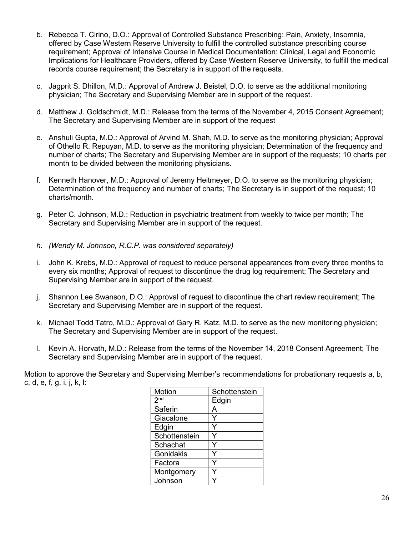- b. Rebecca T. Cirino, D.O.: Approval of Controlled Substance Prescribing: Pain, Anxiety, Insomnia, offered by Case Western Reserve University to fulfill the controlled substance prescribing course requirement; Approval of Intensive Course in Medical Documentation: Clinical, Legal and Economic Implications for Healthcare Providers, offered by Case Western Reserve University, to fulfill the medical records course requirement; the Secretary is in support of the requests.
- c. Jagprit S. Dhillon, M.D.: Approval of Andrew J. Beistel, D.O. to serve as the additional monitoring physician; The Secretary and Supervising Member are in support of the request.
- d. Matthew J. Goldschmidt, M.D.: Release from the terms of the November 4, 2015 Consent Agreement; The Secretary and Supervising Member are in support of the request
- e. Anshuli Gupta, M.D.: Approval of Arvind M. Shah, M.D. to serve as the monitoring physician; Approval of Othello R. Repuyan, M.D. to serve as the monitoring physician; Determination of the frequency and number of charts; The Secretary and Supervising Member are in support of the requests; 10 charts per month to be divided between the monitoring physicians.
- f. Kenneth Hanover, M.D.: Approval of Jeremy Heitmeyer, D.O. to serve as the monitoring physician: Determination of the frequency and number of charts; The Secretary is in support of the request; 10 charts/month.
- g. Peter C. Johnson, M.D.: Reduction in psychiatric treatment from weekly to twice per month; The Secretary and Supervising Member are in support of the request.
- *h. (Wendy M. Johnson, R.C.P. was considered separately)*
- i. John K. Krebs, M.D.: Approval of request to reduce personal appearances from every three months to every six months; Approval of request to discontinue the drug log requirement; The Secretary and Supervising Member are in support of the request.
- j. Shannon Lee Swanson, D.O.: Approval of request to discontinue the chart review requirement; The Secretary and Supervising Member are in support of the request.
- k. Michael Todd Tatro, M.D.: Approval of Gary R. Katz, M.D. to serve as the new monitoring physician; The Secretary and Supervising Member are in support of the request.
- l. Kevin A. Horvath, M.D.: Release from the terms of the November 14, 2018 Consent Agreement; The Secretary and Supervising Member are in support of the request.

Motion to approve the Secretary and Supervising Member's recommendations for probationary requests a, b, c, d, e, f, g, i, j, k, l:

| Motion          | Schottenstein |
|-----------------|---------------|
| 2 <sup>nd</sup> | Edgin         |
| Saferin         | А             |
| Giacalone       |               |
| Edgin           |               |
| Schottenstein   |               |
| Schachat        |               |
| Gonidakis       |               |
| Factora         |               |
| Montgomery      |               |
| Johnson         |               |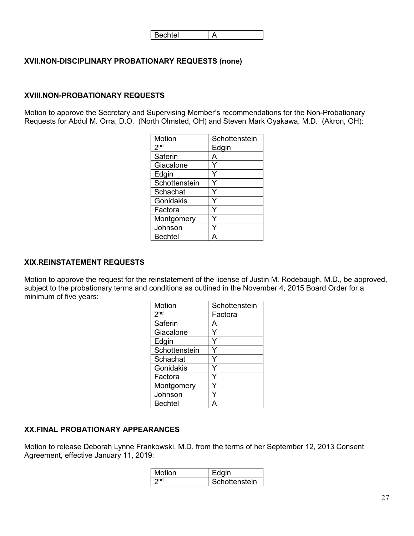| $\mathsf{l}$<br>$\sim$<br>secr<br>ਰ। |  |
|--------------------------------------|--|
|--------------------------------------|--|

## **XVII.NON-DISCIPLINARY PROBATIONARY REQUESTS (none)**

#### **XVIII.NON-PROBATIONARY REQUESTS**

Motion to approve the Secretary and Supervising Member's recommendations for the Non-Probationary Requests for Abdul M. Orra, D.O. (North Olmsted, OH) and Steven Mark Oyakawa, M.D. (Akron, OH):

| Motion          | Schottenstein |
|-----------------|---------------|
| 2 <sub>nd</sub> | Edgin         |
| Saferin         |               |
| Giacalone       |               |
| Edgin           |               |
| Schottenstein   |               |
| Schachat        |               |
| Gonidakis       |               |
| Factora         |               |
| Montgomery      |               |
| Johnson         |               |
| <b>Bechtel</b>  |               |

## **XIX.REINSTATEMENT REQUESTS**

Motion to approve the request for the reinstatement of the license of Justin M. Rodebaugh, M.D., be approved, subject to the probationary terms and conditions as outlined in the November 4, 2015 Board Order for a minimum of five years:

| Motion          | Schottenstein |
|-----------------|---------------|
| 2 <sup>nd</sup> | Factora       |
| Saferin         | А             |
| Giacalone       |               |
| Edgin           |               |
| Schottenstein   |               |
| Schachat        |               |
| Gonidakis       |               |
| Factora         |               |
| Montgomery      |               |
| Johnson         |               |
| <b>Bechtel</b>  |               |

## **XX.FINAL PROBATIONARY APPEARANCES**

Motion to release Deborah Lynne Frankowski, M.D. from the terms of her September 12, 2013 Consent Agreement, effective January 11, 2019:

| Motion | Edain         |
|--------|---------------|
| ∩nd    | Schottenstein |